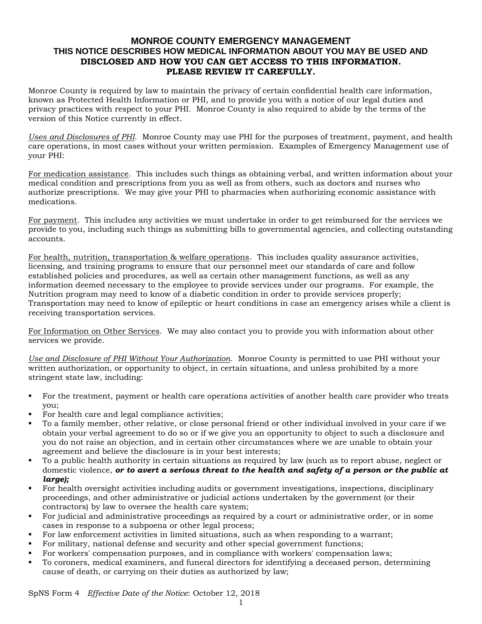## **MONROE COUNTY EMERGENCY MANAGEMENT THIS NOTICE DESCRIBES HOW MEDICAL INFORMATION ABOUT YOU MAY BE USED AND DISCLOSED AND HOW YOU CAN GET ACCESS TO THIS INFORMATION. PLEASE REVIEW IT CAREFULLY.**

Monroe County is required by law to maintain the privacy of certain confidential health care information, known as Protected Health Information or PHI, and to provide you with a notice of our legal duties and privacy practices with respect to your PHI. Monroe County is also required to abide by the terms of the version of this Notice currently in effect.

*Uses and Disclosures of PHI*. Monroe County may use PHI for the purposes of treatment, payment, and health care operations, in most cases without your written permission. Examples of Emergency Management use of your PHI:

For medication assistance. This includes such things as obtaining verbal, and written information about your medical condition and prescriptions from you as well as from others, such as doctors and nurses who authorize prescriptions. We may give your PHI to pharmacies when authorizing economic assistance with medications.

For payment. This includes any activities we must undertake in order to get reimbursed for the services we provide to you, including such things as submitting bills to governmental agencies, and collecting outstanding accounts.

For health, nutrition, transportation & welfare operations. This includes quality assurance activities, licensing, and training programs to ensure that our personnel meet our standards of care and follow established policies and procedures, as well as certain other management functions, as well as any information deemed necessary to the employee to provide services under our programs. For example, the Nutrition program may need to know of a diabetic condition in order to provide services properly; Transportation may need to know of epileptic or heart conditions in case an emergency arises while a client is receiving transportation services.

For Information on Other Services. We may also contact you to provide you with information about other services we provide.

*Use and Disclosure of PHI Without Your Authorization*. Monroe County is permitted to use PHI without your written authorization, or opportunity to object, in certain situations, and unless prohibited by a more stringent state law, including:

- For the treatment, payment or health care operations activities of another health care provider who treats you;
- For health care and legal compliance activities;
- To a family member, other relative, or close personal friend or other individual involved in your care if we obtain your verbal agreement to do so or if we give you an opportunity to object to such a disclosure and you do not raise an objection, and in certain other circumstances where we are unable to obtain your agreement and believe the disclosure is in your best interests;
- To a public health authority in certain situations as required by law (such as to report abuse, neglect or domestic violence, *or to avert a serious threat to the health and safety of a person or the public at large);*
- For health oversight activities including audits or government investigations, inspections, disciplinary proceedings, and other administrative or judicial actions undertaken by the government (or their contractors) by law to oversee the health care system;
- For judicial and administrative proceedings as required by a court or administrative order, or in some cases in response to a subpoena or other legal process;
- For law enforcement activities in limited situations, such as when responding to a warrant;
- For military, national defense and security and other special government functions;
- For workers' compensation purposes, and in compliance with workers' compensation laws;
- To coroners, medical examiners, and funeral directors for identifying a deceased person, determining cause of death, or carrying on their duties as authorized by law;

SpNS Form 4 *Effective Date of the Notice*: October 12, 2018